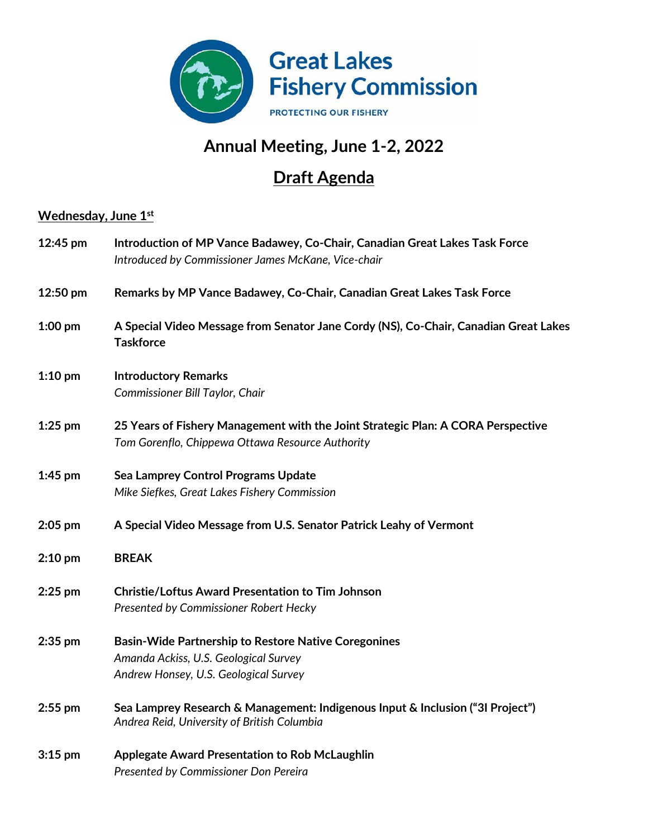

## **Annual Meeting, June 1-2, 2022**

## **Draft Agenda**

## **Wednesday, June 1st**

| 12:45 pm  | Introduction of MP Vance Badawey, Co-Chair, Canadian Great Lakes Task Force<br>Introduced by Commissioner James McKane, Vice-chair            |
|-----------|-----------------------------------------------------------------------------------------------------------------------------------------------|
| 12:50 pm  | Remarks by MP Vance Badawey, Co-Chair, Canadian Great Lakes Task Force                                                                        |
| $1:00$ pm | A Special Video Message from Senator Jane Cordy (NS), Co-Chair, Canadian Great Lakes<br><b>Taskforce</b>                                      |
| $1:10$ pm | <b>Introductory Remarks</b><br>Commissioner Bill Taylor, Chair                                                                                |
| $1:25$ pm | 25 Years of Fishery Management with the Joint Strategic Plan: A CORA Perspective<br>Tom Gorenflo, Chippewa Ottawa Resource Authority          |
| $1:45$ pm | Sea Lamprey Control Programs Update<br>Mike Siefkes, Great Lakes Fishery Commission                                                           |
| $2:05$ pm | A Special Video Message from U.S. Senator Patrick Leahy of Vermont                                                                            |
| $2:10$ pm | <b>BREAK</b>                                                                                                                                  |
| $2:25$ pm | <b>Christie/Loftus Award Presentation to Tim Johnson</b><br>Presented by Commissioner Robert Hecky                                            |
| $2:35$ pm | <b>Basin-Wide Partnership to Restore Native Coregonines</b><br>Amanda Ackiss, U.S. Geological Survey<br>Andrew Honsey, U.S. Geological Survey |
| $2:55$ pm | Sea Lamprey Research & Management: Indigenous Input & Inclusion ("3I Project")<br>Andrea Reid, University of British Columbia                 |
| $3:15$ pm | Applegate Award Presentation to Rob McLaughlin<br>Presented by Commissioner Don Pereira                                                       |